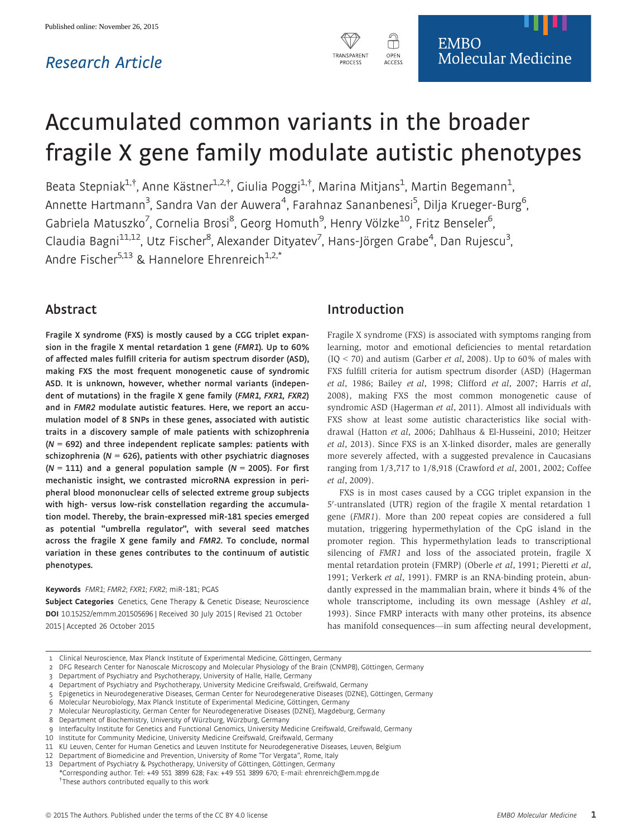## Research Article



# Accumulated common variants in the broader fragile X gene family modulate autistic phenotypes

Beata Stepniak<sup>1,†</sup>, Anne Kästner<sup>1,2,†</sup>, Giulia Poggi<sup>1,†</sup>, Marina Mitjans<sup>1</sup>, Martin Begemann<sup>1</sup> , Annette Hartmann<sup>3</sup>, Sandra Van der Auwera<sup>4</sup>, Farahnaz Sananbenesi<sup>5</sup>, Dilja Krueger-Burg<sup>6</sup> , Gabriela Matuszko<sup>7</sup>, Cornelia Brosi<sup>8</sup>, Georg Homuth<sup>9</sup>, Henry Völzke<sup>10</sup>, Fritz Benseler<sup>6</sup> , Claudia Bagni<sup>11,12</sup>, Utz Fischer<sup>8</sup>, Alexander Dityatev<sup>7</sup>, Hans-Jörgen Grabe<sup>4</sup>, Dan Rujescu<sup>3</sup> .<br>, Andre Fischer<sup>5,13</sup> & Hannelore Ehrenreich<sup>1,2,\*</sup>

## Abstract

Fragile X syndrome (FXS) is mostly caused by a CGG triplet expansion in the fragile X mental retardation 1 gene (FMR1). Up to 60% of affected males fulfill criteria for autism spectrum disorder (ASD), making FXS the most frequent monogenetic cause of syndromic ASD. It is unknown, however, whether normal variants (independent of mutations) in the fragile X gene family (FMR1, FXR1, FXR2) and in FMR2 modulate autistic features. Here, we report an accumulation model of 8 SNPs in these genes, associated with autistic traits in a discovery sample of male patients with schizophrenia  $(N = 692)$  and three independent replicate samples: patients with schizophrenia ( $N = 626$ ), patients with other psychiatric diagnoses  $(N = 111)$  and a general population sample ( $N = 2005$ ). For first mechanistic insight, we contrasted microRNA expression in peripheral blood mononuclear cells of selected extreme group subjects with high- versus low-risk constellation regarding the accumulation model. Thereby, the brain-expressed miR-181 species emerged as potential "umbrella regulator", with several seed matches across the fragile X gene family and FMR2. To conclude, normal variation in these genes contributes to the continuum of autistic phenotypes.

#### Keywords FMR1; FMR2; FXR1; FXR2; miR-181; PGAS

Subject Categories Genetics, Gene Therapy & Genetic Disease; Neuroscience DOI 10.15252/emmm.201505696 | Received 30 July 2015 | Revised 21 October 2015 | Accepted 26 October 2015

## Introduction

Fragile X syndrome (FXS) is associated with symptoms ranging from learning, motor and emotional deficiencies to mental retardation  $(IQ < 70)$  and autism (Garber *et al*, 2008). Up to 60% of males with FXS fulfill criteria for autism spectrum disorder (ASD) (Hagerman et al, 1986; Bailey et al, 1998; Clifford et al, 2007; Harris et al, 2008), making FXS the most common monogenetic cause of syndromic ASD (Hagerman et al, 2011). Almost all individuals with FXS show at least some autistic characteristics like social withdrawal (Hatton et al, 2006; Dahlhaus & El-Husseini, 2010; Heitzer et al, 2013). Since FXS is an X-linked disorder, males are generally more severely affected, with a suggested prevalence in Caucasians ranging from 1/3,717 to 1/8,918 (Crawford et al, 2001, 2002; Coffee et al, 2009).

FXS is in most cases caused by a CGG triplet expansion in the 5'-untranslated (UTR) region of the fragile X mental retardation 1 gene (FMR1). More than 200 repeat copies are considered a full mutation, triggering hypermethylation of the CpG island in the promoter region. This hypermethylation leads to transcriptional silencing of FMR1 and loss of the associated protein, fragile X mental retardation protein (FMRP) (Oberle et al, 1991; Pieretti et al, 1991; Verkerk et al, 1991). FMRP is an RNA-binding protein, abundantly expressed in the mammalian brain, where it binds 4% of the whole transcriptome, including its own message (Ashley *et al*, 1993). Since FMRP interacts with many other proteins, its absence has manifold consequences—in sum affecting neural development,

- 2 DFG Research Center for Nanoscale Microscopy and Molecular Physiology of the Brain (CNMPB), Göttingen, Germany
- 3 Department of Psychiatry and Psychotherapy, University of Halle, Halle, Germany
- 4 Department of Psychiatry and Psychotherapy, University Medicine Greifswald, Greifswald, Germany
- 5 Epigenetics in Neurodegenerative Diseases, German Center for Neurodegenerative Diseases (DZNE), Göttingen, Germany
- 6 Molecular Neurobiology, Max Planck Institute of Experimental Medicine, Göttingen, Germany
- 7 Molecular Neuroplasticity, German Center for Neurodegenerative Diseases (DZNE), Magdeburg, Germany
- 8 Department of Biochemistry, University of Würzburg, Würzburg, Germany

- 10 Institute for Community Medicine, University Medicine Greifswald, Greifswald, Germany
- 11 KU Leuven, Center for Human Genetics and Leuven Institute for Neurodegenerative Diseases, Leuven, Belgium
- 12 Department of Biomedicine and Prevention, University of Rome "Tor Vergata", Rome, Italy
- 13 Department of Psychiatry & Psychotherapy, University of Göttingen, Göttingen, Germany

<sup>1</sup> Clinical Neuroscience, Max Planck Institute of Experimental Medicine, Göttingen, Germany

Interfaculty Institute for Genetics and Functional Genomics, University Medicine Greifswald, Greifswald, Germany

<sup>\*</sup>Corresponding author. Tel: +49 551 3899 628; Fax: +49 551 3899 670; E-mail: ehrenreich@em.mpg.de † These authors contributed equally to this work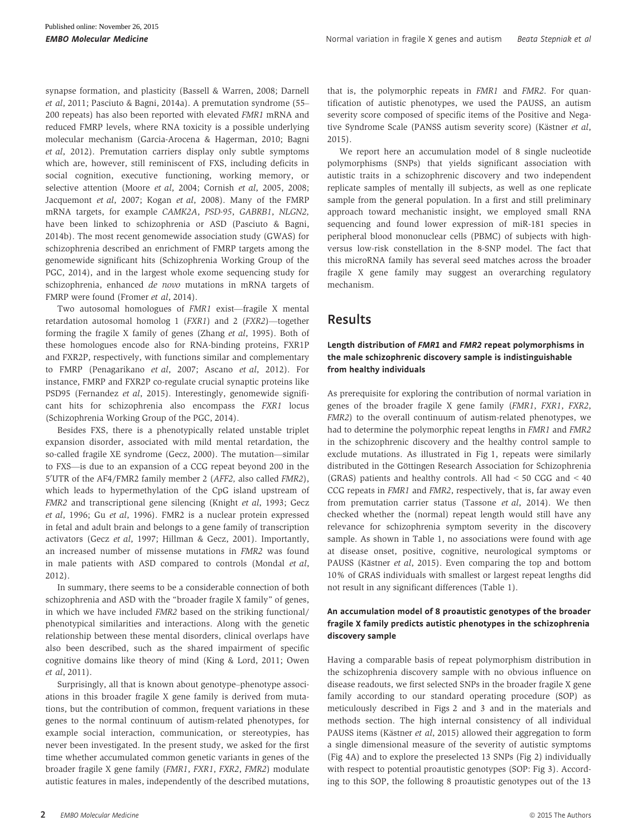synapse formation, and plasticity (Bassell & Warren, 2008; Darnell et al, 2011; Pasciuto & Bagni, 2014a). A premutation syndrome (55– 200 repeats) has also been reported with elevated FMR1 mRNA and reduced FMRP levels, where RNA toxicity is a possible underlying molecular mechanism (Garcia-Arocena & Hagerman, 2010; Bagni et al, 2012). Premutation carriers display only subtle symptoms which are, however, still reminiscent of FXS, including deficits in social cognition, executive functioning, working memory, or selective attention (Moore et al, 2004; Cornish et al, 2005, 2008; Jacquemont et al, 2007; Kogan et al, 2008). Many of the FMRP mRNA targets, for example CAMK2A, PSD-95, GABRB1, NLGN2, have been linked to schizophrenia or ASD (Pasciuto & Bagni, 2014b). The most recent genomewide association study (GWAS) for schizophrenia described an enrichment of FMRP targets among the genomewide significant hits (Schizophrenia Working Group of the PGC, 2014), and in the largest whole exome sequencing study for schizophrenia, enhanced de novo mutations in mRNA targets of FMRP were found (Fromer et al, 2014).

Two autosomal homologues of FMR1 exist—fragile X mental retardation autosomal homolog 1 (FXR1) and 2 (FXR2)—together forming the fragile X family of genes (Zhang et al, 1995). Both of these homologues encode also for RNA-binding proteins, FXR1P and FXR2P, respectively, with functions similar and complementary to FMRP (Penagarikano et al, 2007; Ascano et al, 2012). For instance, FMRP and FXR2P co-regulate crucial synaptic proteins like PSD95 (Fernandez et al, 2015). Interestingly, genomewide significant hits for schizophrenia also encompass the FXR1 locus (Schizophrenia Working Group of the PGC, 2014).

Besides FXS, there is a phenotypically related unstable triplet expansion disorder, associated with mild mental retardation, the so-called fragile XE syndrome (Gecz, 2000). The mutation—similar to FXS—is due to an expansion of a CCG repeat beyond 200 in the 5'UTR of the AF4/FMR2 family member 2 (AFF2, also called FMR2), which leads to hypermethylation of the CpG island upstream of FMR2 and transcriptional gene silencing (Knight et al, 1993; Gecz et al, 1996; Gu et al, 1996). FMR2 is a nuclear protein expressed in fetal and adult brain and belongs to a gene family of transcription activators (Gecz et al, 1997; Hillman & Gecz, 2001). Importantly, an increased number of missense mutations in FMR2 was found in male patients with ASD compared to controls (Mondal et al, 2012).

In summary, there seems to be a considerable connection of both schizophrenia and ASD with the "broader fragile X family" of genes, in which we have included FMR2 based on the striking functional/ phenotypical similarities and interactions. Along with the genetic relationship between these mental disorders, clinical overlaps have also been described, such as the shared impairment of specific cognitive domains like theory of mind (King & Lord, 2011; Owen et al, 2011).

Surprisingly, all that is known about genotype–phenotype associations in this broader fragile X gene family is derived from mutations, but the contribution of common, frequent variations in these genes to the normal continuum of autism-related phenotypes, for example social interaction, communication, or stereotypies, has never been investigated. In the present study, we asked for the first time whether accumulated common genetic variants in genes of the broader fragile X gene family (FMR1, FXR1, FXR2, FMR2) modulate autistic features in males, independently of the described mutations, that is, the polymorphic repeats in FMR1 and FMR2. For quantification of autistic phenotypes, we used the PAUSS, an autism severity score composed of specific items of the Positive and Negative Syndrome Scale (PANSS autism severity score) (Kästner et al, 2015).

We report here an accumulation model of 8 single nucleotide polymorphisms (SNPs) that yields significant association with autistic traits in a schizophrenic discovery and two independent replicate samples of mentally ill subjects, as well as one replicate sample from the general population. In a first and still preliminary approach toward mechanistic insight, we employed small RNA sequencing and found lower expression of miR-181 species in peripheral blood mononuclear cells (PBMC) of subjects with highversus low-risk constellation in the 8-SNP model. The fact that this microRNA family has several seed matches across the broader fragile X gene family may suggest an overarching regulatory mechanism.

## Results

#### Length distribution of FMR1 and FMR2 repeat polymorphisms in the male schizophrenic discovery sample is indistinguishable from healthy individuals

As prerequisite for exploring the contribution of normal variation in genes of the broader fragile X gene family (FMR1, FXR1, FXR2, FMR2) to the overall continuum of autism-related phenotypes, we had to determine the polymorphic repeat lengths in FMR1 and FMR2 in the schizophrenic discovery and the healthy control sample to exclude mutations. As illustrated in Fig 1, repeats were similarly distributed in the Göttingen Research Association for Schizophrenia (GRAS) patients and healthy controls. All had < 50 CGG and < 40 CCG repeats in FMR1 and FMR2, respectively, that is, far away even from premutation carrier status (Tassone et al, 2014). We then checked whether the (normal) repeat length would still have any relevance for schizophrenia symptom severity in the discovery sample. As shown in Table 1, no associations were found with age at disease onset, positive, cognitive, neurological symptoms or PAUSS (Kästner et al, 2015). Even comparing the top and bottom 10% of GRAS individuals with smallest or largest repeat lengths did not result in any significant differences (Table 1).

#### An accumulation model of 8 proautistic genotypes of the broader fragile X family predicts autistic phenotypes in the schizophrenia discovery sample

Having a comparable basis of repeat polymorphism distribution in the schizophrenia discovery sample with no obvious influence on disease readouts, we first selected SNPs in the broader fragile X gene family according to our standard operating procedure (SOP) as meticulously described in Figs 2 and 3 and in the materials and methods section. The high internal consistency of all individual PAUSS items (Kästner et al, 2015) allowed their aggregation to form a single dimensional measure of the severity of autistic symptoms (Fig 4A) and to explore the preselected 13 SNPs (Fig 2) individually with respect to potential proautistic genotypes (SOP: Fig 3). According to this SOP, the following 8 proautistic genotypes out of the 13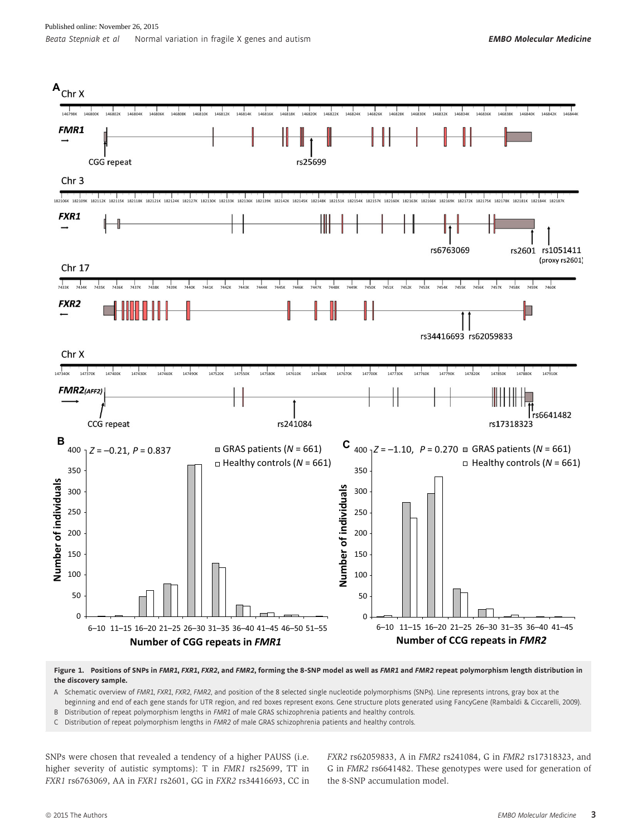

Figure 1. Positions of SNPs in FMR1, FXR1, FXR2, and FMR2, forming the 8-SNP model as well as FMR1 and FMR2 repeat polymorphism length distribution in the discovery sample.

- A Schematic overview of FMR1, FXR1, FXR2, FMR2, and position of the 8 selected single nucleotide polymorphisms (SNPs). Line represents introns, gray box at the beginning and end of each gene stands for UTR region, and red boxes represent exons. Gene structure plots generated using FancyGene (Rambaldi & Ciccarelli, 2009).
- B Distribution of repeat polymorphism lengths in FMR1 of male GRAS schizophrenia patients and healthy controls.
- C Distribution of repeat polymorphism lengths in FMR2 of male GRAS schizophrenia patients and healthy controls.

SNPs were chosen that revealed a tendency of a higher PAUSS (i.e. higher severity of autistic symptoms): T in FMR1 rs25699, TT in FXR1 rs6763069, AA in FXR1 rs2601, GG in FXR2 rs34416693, CC in FXR2 rs62059833, A in FMR2 rs241084, G in FMR2 rs17318323, and G in FMR2 rs6641482. These genotypes were used for generation of the 8-SNP accumulation model.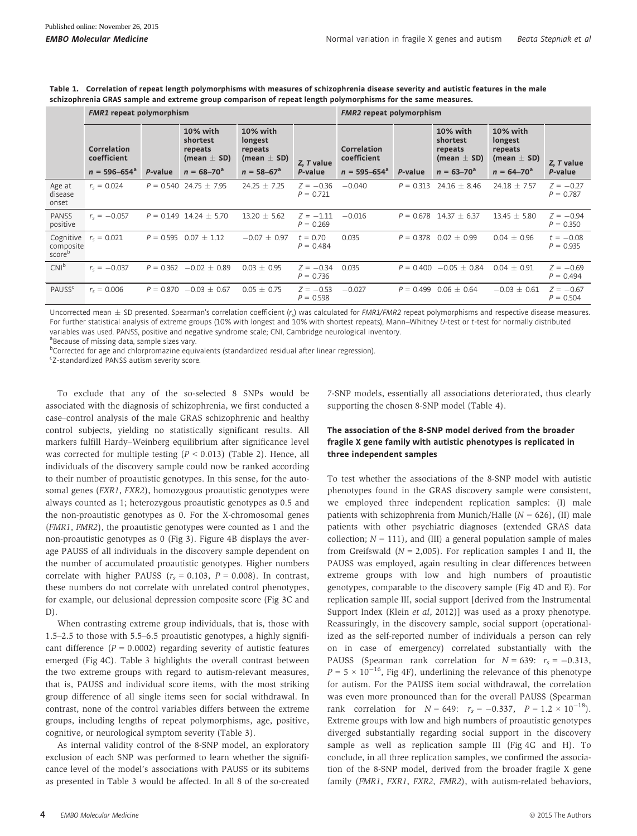|                                  | <b>FMR1</b> repeat polymorphism                        |             |                                                                         |                                                                    | <b>FMR2</b> repeat polymorphism |                                                        |             |                                                                         |                                                                             |                            |
|----------------------------------|--------------------------------------------------------|-------------|-------------------------------------------------------------------------|--------------------------------------------------------------------|---------------------------------|--------------------------------------------------------|-------------|-------------------------------------------------------------------------|-----------------------------------------------------------------------------|----------------------------|
|                                  | <b>Correlation</b><br>coefficient<br>$n = 596 - 654^a$ | P-value     | 10% with<br>shortest<br>repeats<br>(mean $\pm$ SD)<br>$n = 68 - 70^{a}$ | 10% with<br>longest<br>repeats<br>(mean $\pm$ SD)<br>$n = 58-67^a$ | Z. T value<br>P-value           | <b>Correlation</b><br>coefficient<br>$n = 595 - 654^a$ | P-value     | 10% with<br>shortest<br>repeats<br>(mean $\pm$ SD)<br>$n = 63 - 70^{a}$ | <b>10% with</b><br>longest<br>repeats<br>(mean $\pm$ SD)<br>$n = 64 - 70^a$ | Z, T value<br>P-value      |
| Age at                           | $r_c = 0.024$                                          | $P = 0.540$ | $24.75 \pm 7.95$                                                        | $24.25 \pm 7.25$                                                   | $Z = -0.36$                     | $-0.040$                                               | $P = 0.313$ | $24.16 \pm 8.46$                                                        | $24.18 \pm 7.57$                                                            | $Z = -0.27$                |
| disease<br>onset                 |                                                        |             |                                                                         |                                                                    | $P = 0.721$                     |                                                        |             |                                                                         |                                                                             | $P = 0.787$                |
| <b>PANSS</b><br>positive         | $r_{\rm c} = -0.057$                                   | $P = 0.149$ | $14.24 \pm 5.70$                                                        | $13.20 \pm 5.62$                                                   | $Z = -1.11$<br>$P = 0.269$      | $-0.016$                                               | $P = 0.678$ | $14.37 \pm 6.37$                                                        | $13.45 \pm 5.80$                                                            | $Z = -0.94$<br>$P = 0.350$ |
| Cognitive<br>composite<br>scoreb | $r_s = 0.021$                                          | $P = 0.595$ | $0.07 \pm 1.12$                                                         | $-0.07 \pm 0.97$                                                   | $t = 0.70$<br>$P = 0.484$       | 0.035                                                  | $P = 0.378$ | $0.02 \pm 0.99$                                                         | $0.04 \pm 0.96$                                                             | $t = -0.08$<br>$P = 0.935$ |
| CNI <sup>b</sup>                 | $r_{\rm c} = -0.037$                                   | $P = 0.362$ | $-0.02 \pm 0.89$                                                        | $0.03 \pm 0.95$                                                    | $Z = -0.34$<br>$P = 0.736$      | 0.035                                                  | $P = 0.400$ | $-0.05 \pm 0.84$                                                        | $0.04 \pm 0.91$                                                             | $Z = -0.69$<br>$P = 0.494$ |
| PAUSS <sup>c</sup>               | $r_c = 0.006$                                          | $P = 0.870$ | $-0.03 \pm 0.67$                                                        | $0.05 \pm 0.75$                                                    | $Z = -0.53$<br>$P = 0.598$      | $-0.027$                                               | $P = 0.499$ | $0.06 \pm 0.64$                                                         | $-0.03 \pm 0.61$                                                            | $Z = -0.67$<br>$P = 0.504$ |

Table 1. Correlation of repeat length polymorphisms with measures of schizophrenia disease severity and autistic features in the male schizophrenia GRAS sample and extreme group comparison of repeat length polymorphisms for the same measures.

Uncorrected mean  $\pm$  SD presented. Spearman's correlation coefficient (r<sub>s</sub>) was calculated for FMR1/FMR2 repeat polymorphisms and respective disease measures. For further statistical analysis of extreme groups (10% with longest and 10% with shortest repeats), Mann–Whitney U-test or t-test for normally distributed variables was used. PANSS, positive and negative syndrome scale; CNI, Cambridge neurological inventory.

<sup>a</sup> Because of missing data, sample sizes vary.

<sup>b</sup>Corrected for age and chlorpromazine equivalents (standardized residual after linear regression).

c Z-standardized PANSS autism severity score.

To exclude that any of the so-selected 8 SNPs would be associated with the diagnosis of schizophrenia, we first conducted a case–control analysis of the male GRAS schizophrenic and healthy control subjects, yielding no statistically significant results. All markers fulfill Hardy–Weinberg equilibrium after significance level was corrected for multiple testing  $(P < 0.013)$  (Table 2). Hence, all individuals of the discovery sample could now be ranked according to their number of proautistic genotypes. In this sense, for the autosomal genes (FXR1, FXR2), homozygous proautistic genotypes were always counted as 1; heterozygous proautistic genotypes as 0.5 and the non-proautistic genotypes as 0. For the X-chromosomal genes (FMR1, FMR2), the proautistic genotypes were counted as 1 and the non-proautistic genotypes as 0 (Fig 3). Figure 4B displays the average PAUSS of all individuals in the discovery sample dependent on the number of accumulated proautistic genotypes. Higher numbers correlate with higher PAUSS ( $r_s = 0.103$ ,  $P = 0.008$ ). In contrast, these numbers do not correlate with unrelated control phenotypes, for example, our delusional depression composite score (Fig 3C and D).

When contrasting extreme group individuals, that is, those with 1.5–2.5 to those with 5.5–6.5 proautistic genotypes, a highly significant difference  $(P = 0.0002)$  regarding severity of autistic features emerged (Fig 4C). Table 3 highlights the overall contrast between the two extreme groups with regard to autism-relevant measures, that is, PAUSS and individual score items, with the most striking group difference of all single items seen for social withdrawal. In contrast, none of the control variables differs between the extreme groups, including lengths of repeat polymorphisms, age, positive, cognitive, or neurological symptom severity (Table 3).

As internal validity control of the 8-SNP model, an exploratory exclusion of each SNP was performed to learn whether the significance level of the model's associations with PAUSS or its subitems as presented in Table 3 would be affected. In all 8 of the so-created

The association of the 8-SNP model derived from the broader fragile X gene family with autistic phenotypes is replicated in

supporting the chosen 8-SNP model (Table 4).

# three independent samples

7-SNP models, essentially all associations deteriorated, thus clearly

To test whether the associations of the 8-SNP model with autistic phenotypes found in the GRAS discovery sample were consistent, we employed three independent replication samples: (I) male patients with schizophrenia from Munich/Halle ( $N = 626$ ), (II) male patients with other psychiatric diagnoses (extended GRAS data collection;  $N = 111$ ), and (III) a general population sample of males from Greifswald ( $N = 2,005$ ). For replication samples I and II, the PAUSS was employed, again resulting in clear differences between extreme groups with low and high numbers of proautistic genotypes, comparable to the discovery sample (Fig 4D and E). For replication sample III, social support [derived from the Instrumental Support Index (Klein *et al*, 2012)] was used as a proxy phenotype. Reassuringly, in the discovery sample, social support (operationalized as the self-reported number of individuals a person can rely on in case of emergency) correlated substantially with the PAUSS (Spearman rank correlation for  $N = 639$ :  $r_s = -0.313$ ,  $P = 5 \times 10^{-16}$ , Fig 4F), underlining the relevance of this phenotype for autism. For the PAUSS item social withdrawal, the correlation was even more pronounced than for the overall PAUSS (Spearman rank correlation for  $N = 649$ :  $r_s = -0.337$ ,  $P = 1.2 \times 10^{-18}$ . Extreme groups with low and high numbers of proautistic genotypes diverged substantially regarding social support in the discovery sample as well as replication sample III (Fig 4G and H). To conclude, in all three replication samples, we confirmed the association of the 8-SNP model, derived from the broader fragile X gene family (FMR1, FXR1, FXR2, FMR2), with autism-related behaviors,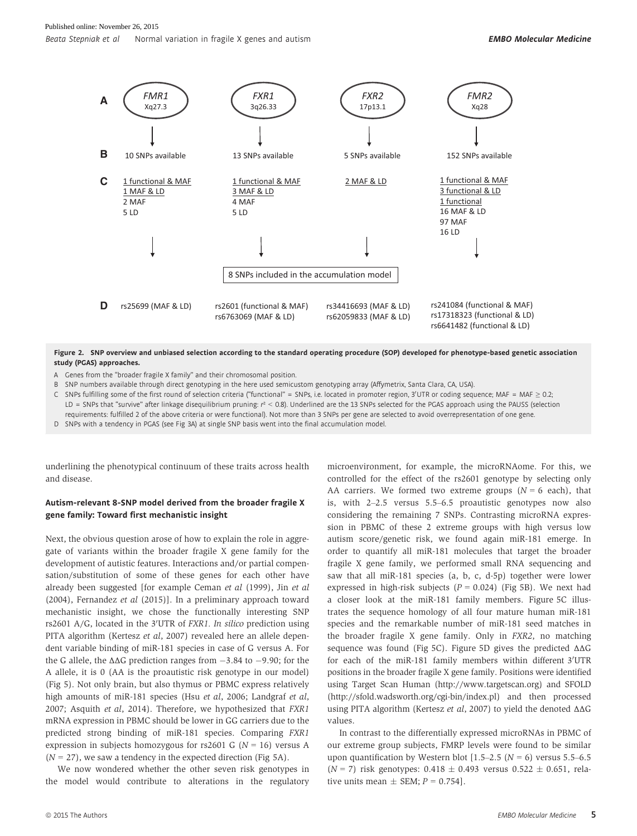

Figure 2. SNP overview and unbiased selection according to the standard operating procedure (SOP) developed for phenotype-based genetic association study (PGAS) approaches.

A Genes from the "broader fragile X family" and their chromosomal position.

B SNP numbers available through direct genotyping in the here used semicustom genotyping array (Affymetrix, Santa Clara, CA, USA).

C  $\,$  SNPs fulfilling some of the first round of selection criteria ("functional" = SNPs, i.e. located in promoter region, 3'UTR or coding sequence; MAF = MAF  $\geq$  0.2; LD = SNPs that "survive" after linkage disequilibrium pruning:  $r^2 < 0.8$ ). Underlined are the 13 SNPs selected for the PGAS approach using the PAUSS (selection requirements: fulfilled 2 of the above criteria or were functional). Not more than 3 SNPs per gene are selected to avoid overrepresentation of one gene.

D SNPs with a tendency in PGAS (see Fig 3A) at single SNP basis went into the final accumulation model.

underlining the phenotypical continuum of these traits across health and disease.

#### Autism-relevant 8-SNP model derived from the broader fragile X gene family: Toward first mechanistic insight

Next, the obvious question arose of how to explain the role in aggregate of variants within the broader fragile X gene family for the development of autistic features. Interactions and/or partial compensation/substitution of some of these genes for each other have already been suggested [for example Ceman et al (1999), Jin et al (2004), Fernandez et al (2015)]. In a preliminary approach toward mechanistic insight, we chose the functionally interesting SNP rs2601 A/G, located in the 3'UTR of *FXR1*. In silico prediction using PITA algorithm (Kertesz et al, 2007) revealed here an allele dependent variable binding of miR-181 species in case of G versus A. For the G allele, the  $\Delta\Delta G$  prediction ranges from  $-3.84$  to  $-9.90$ ; for the A allele, it is 0 (AA is the proautistic risk genotype in our model) (Fig 5). Not only brain, but also thymus or PBMC express relatively high amounts of miR-181 species (Hsu et al, 2006; Landgraf et al, 2007; Asquith et al, 2014). Therefore, we hypothesized that FXR1 mRNA expression in PBMC should be lower in GG carriers due to the predicted strong binding of miR-181 species. Comparing FXR1 expression in subjects homozygous for rs2601 G ( $N = 16$ ) versus A  $(N = 27)$ , we saw a tendency in the expected direction (Fig 5A).

We now wondered whether the other seven risk genotypes in the model would contribute to alterations in the regulatory microenvironment, for example, the microRNAome. For this, we controlled for the effect of the rs2601 genotype by selecting only AA carriers. We formed two extreme groups  $(N = 6$  each), that is, with 2–2.5 versus 5.5–6.5 proautistic genotypes now also considering the remaining 7 SNPs. Contrasting microRNA expression in PBMC of these 2 extreme groups with high versus low autism score/genetic risk, we found again miR-181 emerge. In order to quantify all miR-181 molecules that target the broader fragile X gene family, we performed small RNA sequencing and saw that all miR-181 species (a, b, c, d-5p) together were lower expressed in high-risk subjects  $(P = 0.024)$  (Fig 5B). We next had a closer look at the miR-181 family members. Figure 5C illustrates the sequence homology of all four mature human miR-181 species and the remarkable number of miR-181 seed matches in the broader fragile X gene family. Only in FXR2, no matching sequence was found (Fig 5C). Figure 5D gives the predicted ΔΔG for each of the miR-181 family members within different 3'UTR positions in the broader fragile X gene family. Positions were identified using Target Scan Human [\(http://www.targetscan.org\)](http://www.targetscan.org) and SFOLD [\(http://sfold.wadsworth.org/cgi-bin/index.pl](http://sfold.wadsworth.org/cgi-bin/index.pl)) and then processed using PITA algorithm (Kertesz et al, 2007) to yield the denoted ΔΔG values.

In contrast to the differentially expressed microRNAs in PBMC of our extreme group subjects, FMRP levels were found to be similar upon quantification by Western blot  $[1.5-2.5 (N = 6)$  versus 5.5-6.5  $(N = 7)$  risk genotypes: 0.418  $\pm$  0.493 versus 0.522  $\pm$  0.651, relative units mean  $\pm$  SEM;  $P = 0.754$ ].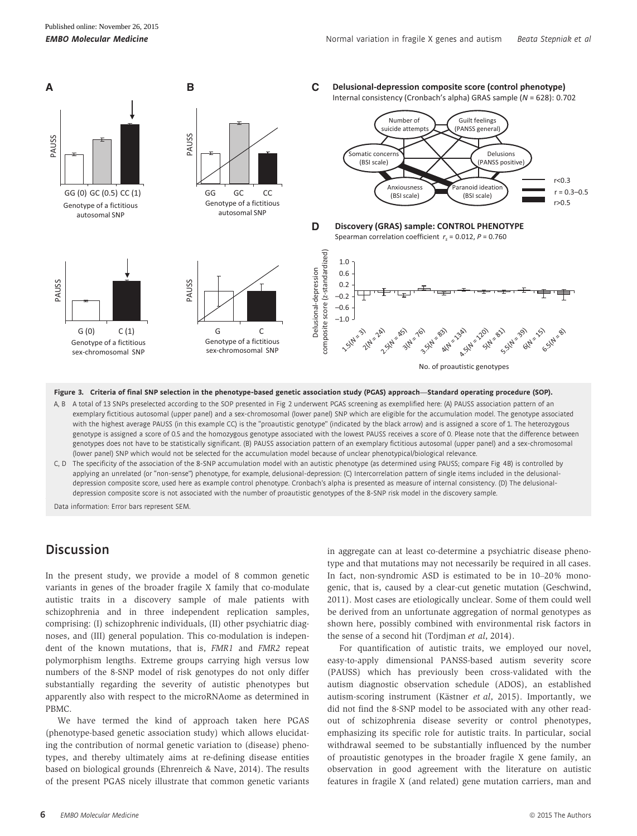

Figure 3. Criteria of final SNP selection in the phenotype-based genetic association study (PGAS) approach—Standard operating procedure (SOP).

- A, B A total of 13 SNPs preselected according to the SOP presented in Fig 2 underwent PGAS screening as exemplified here: (A) PAUSS association pattern of an exemplary fictitious autosomal (upper panel) and a sex-chromosomal (lower panel) SNP which are eligible for the accumulation model. The genotype associated with the highest average PAUSS (in this example CC) is the "proautistic genotype" (indicated by the black arrow) and is assigned a score of 1. The heterozygous genotype is assigned a score of 0.5 and the homozygous genotype associated with the lowest PAUSS receives a score of 0. Please note that the difference between genotypes does not have to be statistically significant. (B) PAUSS association pattern of an exemplary fictitious autosomal (upper panel) and a sex-chromosomal (lower panel) SNP which would not be selected for the accumulation model because of unclear phenotypical/biological relevance.
- C, D The specificity of the association of the 8-SNP accumulation model with an autistic phenotype (as determined using PAUSS; compare Fig 4B) is controlled by applying an unrelated (or "non-sense") phenotype, for example, delusional-depression: (C) Intercorrelation pattern of single items included in the delusionaldepression composite score, used here as example control phenotype. Cronbach's alpha is presented as measure of internal consistency. (D) The delusionaldepression composite score is not associated with the number of proautistic genotypes of the 8-SNP risk model in the discovery sample.

Data information: Error bars represent SEM.

## **Discussion**

In the present study, we provide a model of 8 common genetic variants in genes of the broader fragile X family that co-modulate autistic traits in a discovery sample of male patients with schizophrenia and in three independent replication samples, comprising: (I) schizophrenic individuals, (II) other psychiatric diagnoses, and (III) general population. This co-modulation is independent of the known mutations, that is, FMR1 and FMR2 repeat polymorphism lengths. Extreme groups carrying high versus low numbers of the 8-SNP model of risk genotypes do not only differ substantially regarding the severity of autistic phenotypes but apparently also with respect to the microRNAome as determined in PBMC.

We have termed the kind of approach taken here PGAS (phenotype-based genetic association study) which allows elucidating the contribution of normal genetic variation to (disease) phenotypes, and thereby ultimately aims at re-defining disease entities based on biological grounds (Ehrenreich & Nave, 2014). The results of the present PGAS nicely illustrate that common genetic variants

in aggregate can at least co-determine a psychiatric disease phenotype and that mutations may not necessarily be required in all cases. In fact, non-syndromic ASD is estimated to be in 10–20% monogenic, that is, caused by a clear-cut genetic mutation (Geschwind, 2011). Most cases are etiologically unclear. Some of them could well be derived from an unfortunate aggregation of normal genotypes as shown here, possibly combined with environmental risk factors in the sense of a second hit (Tordjman et al, 2014).

For quantification of autistic traits, we employed our novel, easy-to-apply dimensional PANSS-based autism severity score (PAUSS) which has previously been cross-validated with the autism diagnostic observation schedule (ADOS), an established autism-scoring instrument (Kästner et al, 2015). Importantly, we did not find the 8-SNP model to be associated with any other readout of schizophrenia disease severity or control phenotypes, emphasizing its specific role for autistic traits. In particular, social withdrawal seemed to be substantially influenced by the number of proautistic genotypes in the broader fragile X gene family, an observation in good agreement with the literature on autistic features in fragile X (and related) gene mutation carriers, man and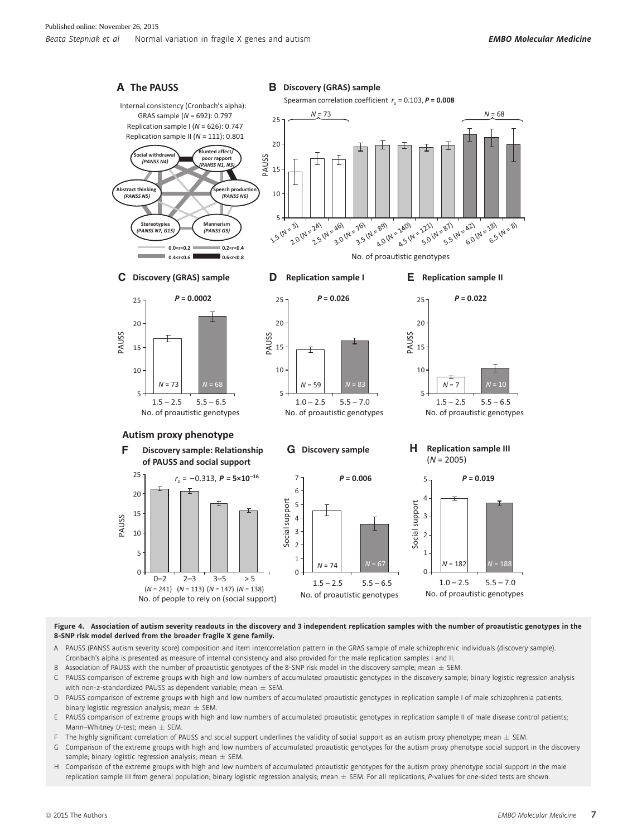

Figure 4. Association of autism severity readouts in the discovery and 3 independent replication samples with the number of proautistic genotypes in the 8-SNP risk model derived from the broader fragile X gene family.

- A PAUSS (PANSS autism severity score) composition and item intercorrelation pattern in the GRAS sample of male schizophrenic individuals (discovery sample). Cronbach's alpha is presented as measure of internal consistency and also provided for the male replication samples I and II.
- B Association of PAUSS with the number of proautistic genotypes of the 8-SNP risk model in the discovery sample; mean  $\pm$  SEM.
- C PAUSS comparison of extreme groups with high and low numbers of accumulated proautistic genotypes in the discovery sample; binary logistic regression analysis with non-z-standardized PAUSS as dependent variable; mean  $\pm$  SEM.
- D PAUSS comparison of extreme groups with high and low numbers of accumulated proautistic genotypes in replication sample I of male schizophrenia patients; binary logistic regression analysis; mean  $\pm$  SEM
- E PAUSS comparison of extreme groups with high and low numbers of accumulated proautistic genotypes in replication sample II of male disease control patients; Mann–Whitney U-test; mean  $\pm$  SEM.
- F The highly significant correlation of PAUSS and social support underlines the validity of social support as an autism proxy phenotype; mean  $\pm$  SEM.
- G Comparison of the extreme groups with high and low numbers of accumulated proautistic genotypes for the autism proxy phenotype social support in the discovery sample; binary logistic regression analysis; mean  $\pm$  SEM.
- H Comparison of the extreme groups with high and low numbers of accumulated proautistic genotypes for the autism proxy phenotype social support in the male replication sample III from general population; binary logistic regression analysis; mean ± SEM. For all replications, P-values for one-sided tests are shown.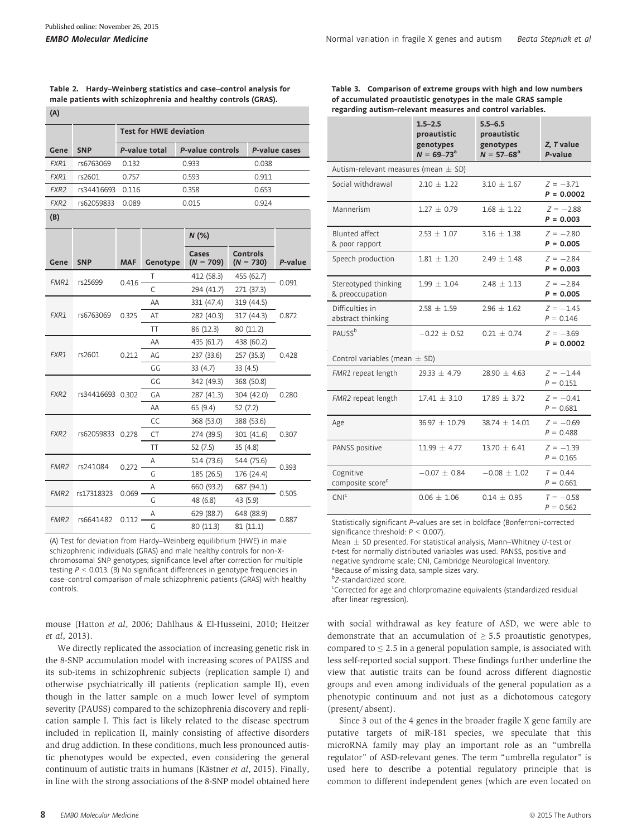$\sqrt{(\Lambda)}$ 

| Table 2. Hardy–Weinberg statistics and case–control analysis for |
|------------------------------------------------------------------|
| male patients with schizophrenia and healthy controls (GRAS).    |

| r 7              |                               |            |               |                          |                                               |               |            |  |  |  |
|------------------|-------------------------------|------------|---------------|--------------------------|-----------------------------------------------|---------------|------------|--|--|--|
|                  | <b>Test for HWE deviation</b> |            |               |                          |                                               |               |            |  |  |  |
| Gene             | <b>SNP</b>                    |            | P-value total | P-value controls         |                                               | P-value cases |            |  |  |  |
| FXR1             | rs6763069                     | 0.132      |               | 0.933                    |                                               | 0.038         |            |  |  |  |
| FXR1             | rs2601                        | 0.757      |               | 0.593                    |                                               | 0.911         |            |  |  |  |
| FXR <sub>2</sub> | rs34416693                    | 0.116      |               | 0.358                    |                                               | 0.653         |            |  |  |  |
| FXR <sub>2</sub> | rs62059833                    | 0.089      |               | 0.015                    |                                               | 0.924         |            |  |  |  |
| (B)              |                               |            |               |                          |                                               |               |            |  |  |  |
|                  |                               |            |               | $N$ (%)                  |                                               |               |            |  |  |  |
| Gene             | <b>SNP</b>                    | <b>MAF</b> | Genotype      | Cases                    | <b>Controls</b><br>$(N = 709)$<br>$(N = 730)$ |               | P-value    |  |  |  |
|                  |                               |            | Τ             | 412 (58.3)               |                                               | 455 (62.7)    |            |  |  |  |
| FMR1             | rs25699                       | 0.416      | C             | 294 (41.7)               |                                               | 271 (37.3)    | 0.091      |  |  |  |
|                  |                               |            |               | AA                       | 331 (47.4)                                    |               | 319 (44.5) |  |  |  |
| FXR1             | rs6763069                     | 0.325      | AT            | 282 (40.3)               |                                               | 317 (44.3)    | 0.872      |  |  |  |
|                  |                               |            | TT            | 86 (12.3)                |                                               | 80 (11.2)     |            |  |  |  |
|                  |                               | 0.212      | AA            | 435 (61.7)               |                                               | 438 (60.2)    |            |  |  |  |
| FXR1             | rs2601                        |            | AG            | 237 (33.6)               |                                               | 257 (35.3)    | 0.428      |  |  |  |
|                  |                               |            | GG            | 33(4.7)                  | 33(4.5)                                       |               |            |  |  |  |
|                  |                               |            | GG            | 342 (49.3)               |                                               | 368 (50.8)    | 0.280      |  |  |  |
| FXR <sub>2</sub> | rs34416693 0.302              |            | GA            | 287 (41.3)               |                                               | 304 (42.0)    |            |  |  |  |
|                  |                               |            | AA            | 65 (9.4)                 | 52(7.2)                                       |               |            |  |  |  |
|                  |                               |            |               | CC                       | 368 (53.0)                                    |               | 388 (53.6) |  |  |  |
| FXR <sub>2</sub> | rs62059833                    |            | <b>CT</b>     | 274 (39.5)               |                                               | 301 (41.6)    | 0.307      |  |  |  |
|                  |                               |            | TT            | 52(7.5)                  |                                               | 35(4.8)       |            |  |  |  |
| FMR <sub>2</sub> | rs241084                      | 0.272      | Α             | 544 (75.6)<br>514 (73.6) |                                               |               | 0.393      |  |  |  |
|                  |                               |            | G             | 185 (26.5)               |                                               | 176 (24.4)    |            |  |  |  |
| FMR <sub>2</sub> | rs17318323                    | 0.069      | Α             | 660 (93.2)               |                                               | 687 (94.1)    | 0.505      |  |  |  |
|                  |                               |            | G             | 48 (6.8)                 |                                               | 43 (5.9)      |            |  |  |  |
| FMR <sub>2</sub> | rs6641482                     | 0.112      | Α             | 629 (88.7)               |                                               | 648 (88.9)    | 0.887      |  |  |  |
|                  |                               |            | G             | 80 (11.3)                |                                               | 81 (11.1)     |            |  |  |  |

(A) Test for deviation from Hardy–Weinberg equilibrium (HWE) in male schizophrenic individuals (GRAS) and male healthy controls for non-Xchromosomal SNP genotypes; significance level after correction for multiple testing  $P < 0.013$ . (B) No significant differences in genotype frequencies in case–control comparison of male schizophrenic patients (GRAS) with healthy controls.

mouse (Hatton et al, 2006; Dahlhaus & El-Husseini, 2010; Heitzer et al, 2013).

We directly replicated the association of increasing genetic risk in the 8-SNP accumulation model with increasing scores of PAUSS and its sub-items in schizophrenic subjects (replication sample I) and otherwise psychiatrically ill patients (replication sample II), even though in the latter sample on a much lower level of symptom severity (PAUSS) compared to the schizophrenia discovery and replication sample I. This fact is likely related to the disease spectrum included in replication II, mainly consisting of affective disorders and drug addiction. In these conditions, much less pronounced autistic phenotypes would be expected, even considering the general continuum of autistic traits in humans (Kästner et al, 2015). Finally, in line with the strong associations of the 8-SNP model obtained here

|                                           | $1.5 - 2.5$<br>proautistic<br>genotypes<br>$N = 69 - 73a$ | $5.5 - 6.5$<br>proautistic<br>genotypes<br>$N = 57 - 68^a$ | Z, T value<br>P-value       |
|-------------------------------------------|-----------------------------------------------------------|------------------------------------------------------------|-----------------------------|
| Autism-relevant measures (mean $\pm$ SD)  |                                                           |                                                            |                             |
| Social withdrawal                         | $2.10 + 1.22$                                             | $3.10 \pm 1.67$                                            | $Z = -3.71$<br>$P = 0.0002$ |
| Mannerism                                 | $1.27 + 0.79$                                             | $1.68 + 1.22$                                              | $Z = -2.88$<br>$P = 0.003$  |
| Blunted affect<br>& poor rapport          | $2.53 \pm 1.07$                                           | $3.16 \pm 1.38$                                            | $Z = -2.80$<br>$P = 0.005$  |
| Speech production                         | $1.81 \pm 1.20$                                           | $2.49 + 1.48$                                              | $Z = -2.84$<br>$P = 0.003$  |
| Stereotyped thinking<br>& preoccupation   | $1.99 \pm 1.04$                                           | $2.48 \pm 1.13$                                            | $Z = -2.84$<br>$P = 0.005$  |
| Difficulties in<br>abstract thinking      | $2.58 + 1.59$                                             | $2.96 + 1.62$                                              | $Z = -1.45$<br>$P = 0.146$  |
| PAUSS <sup>b</sup>                        | $-0.22 + 0.52$                                            | $0.21 + 0.74$                                              | $Z = -3.69$<br>$P = 0.0002$ |
| Control variables (mean $\pm$ SD)         |                                                           |                                                            |                             |
| FMR1 repeat length                        | $29.33 \pm 4.79$                                          | $28.90 \pm 4.63$                                           | $Z = -1.44$<br>$P = 0.151$  |
| FMR2 repeat length                        | $17.41 + 3.10$                                            | $17.89 + 3.72$                                             | $Z = -0.41$<br>$P = 0.681$  |
| Age                                       | $36.97 \pm 10.79$                                         | $38.74 + 14.01$                                            | $Z = -0.69$<br>$P = 0.488$  |
| PANSS positive                            | $11.99 \pm 4.77$                                          | $13.70 + 6.41$                                             | $Z = -1.39$<br>$P = 0.165$  |
| Cognitive<br>composite score <sup>c</sup> | $-0.07 \pm 0.84$                                          | $-0.08 \pm 1.02$                                           | $T = 0.44$<br>$P = 0.661$   |
| CNI <sup>c</sup>                          | $0.06 + 1.06$                                             | $0.14 + 0.95$                                              | $T = -0.58$<br>$P = 0.562$  |

Statistically significant P-values are set in boldface (Bonferroni-corrected significance threshold:  $P < 0.007$ ).

Mean  $\pm$  SD presented. For statistical analysis, Mann–Whitney U-test or t-test for normally distributed variables was used. PANSS, positive and negative syndrome scale; CNI, Cambridge Neurological Inventory. aBecause of missing data, sample sizes vary.

b<sub>Z</sub>-standardized score.<br>Corrected for age and

Corrected for age and chlorpromazine equivalents (standardized residual after linear regression).

with social withdrawal as key feature of ASD, we were able to demonstrate that an accumulation of  $\geq$  5.5 proautistic genotypes, compared to  $\leq$  2.5 in a general population sample, is associated with less self-reported social support. These findings further underline the view that autistic traits can be found across different diagnostic groups and even among individuals of the general population as a phenotypic continuum and not just as a dichotomous category (present/ absent).

Since 3 out of the 4 genes in the broader fragile X gene family are putative targets of miR-181 species, we speculate that this microRNA family may play an important role as an "umbrella regulator" of ASD-relevant genes. The term "umbrella regulator" is used here to describe a potential regulatory principle that is common to different independent genes (which are even located on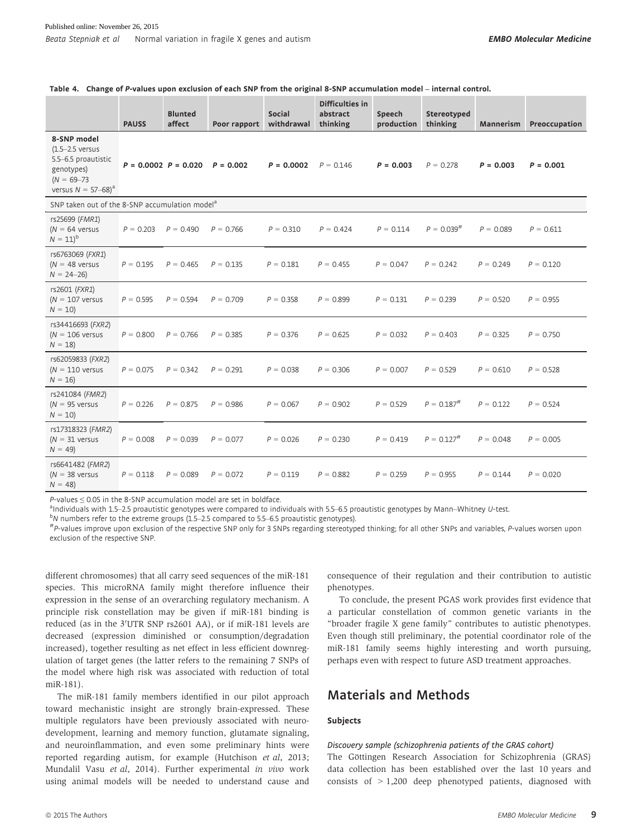Table 4. Change of P-values upon exclusion of each SNP from the original 8-SNP accumulation model – internal control.

|                                                                                                                               | <b>PAUSS</b> | <b>Blunted</b><br>affect | Poor rapport | Social<br>withdrawal | Difficulties in<br>abstract<br>thinking | Speech<br>production | Stereotyped<br>thinking | Mannerism   | Preoccupation |
|-------------------------------------------------------------------------------------------------------------------------------|--------------|--------------------------|--------------|----------------------|-----------------------------------------|----------------------|-------------------------|-------------|---------------|
| 8-SNP model<br>$(1.5-2.5$ versus<br>5.5-6.5 proautistic<br>genotypes)<br>$(N = 69 - 73)$<br>versus $N = 57 - 68$ <sup>a</sup> |              | $P = 0.0002$ $P = 0.020$ | $P = 0.002$  | $P = 0.0002$         | $P = 0.146$                             | $P = 0.003$          | $P = 0.278$             | $P = 0.003$ | $P = 0.001$   |
| SNP taken out of the 8-SNP accumulation model <sup>a</sup>                                                                    |              |                          |              |                      |                                         |                      |                         |             |               |
| rs25699 (FMR1)<br>( $N = 64$ versus<br>$N = 11)^b$                                                                            | $P = 0.203$  | $P = 0.490$              | $P = 0.766$  | $P = 0.310$          | $P = 0.424$                             | $P = 0.114$          | $P = 0.039^{#}$         | $P = 0.089$ | $P = 0.611$   |
| rs6763069 (FXR1)<br>( $N = 48$ versus<br>$N = 24 - 26$                                                                        | $P = 0.195$  | $P = 0.465$              | $P = 0.135$  | $P = 0.181$          | $P = 0.455$                             | $P = 0.047$          | $P = 0.242$             | $P = 0.249$ | $P = 0.120$   |
| rs2601 (FXR1)<br>( $N = 107$ versus<br>$N = 10$                                                                               | $P = 0.595$  | $P = 0.594$              | $P = 0.709$  | $P = 0.358$          | $P = 0.899$                             | $P = 0.131$          | $P = 0.239$             | $P = 0.520$ | $P = 0.955$   |
| rs34416693 (FXR2)<br>( $N = 106$ versus<br>$N = 18$                                                                           | $P = 0.800$  | $P = 0.766$              | $P = 0.385$  | $P = 0.376$          | $P = 0.625$                             | $P = 0.032$          | $P = 0.403$             | $P = 0.325$ | $P = 0.750$   |
| rs62059833 (FXR2)<br>$(N = 110$ versus<br>$N = 16$                                                                            | $P = 0.075$  | $P = 0.342$              | $P = 0.291$  | $P = 0.038$          | $P = 0.306$                             | $P = 0.007$          | $P = 0.529$             | $P = 0.610$ | $P = 0.528$   |
| rs241084 (FMR2)<br>$(N = 95$ versus<br>$N = 10$                                                                               | $P = 0.226$  | $P = 0.875$              | $P = 0.986$  | $P = 0.067$          | $P = 0.902$                             | $P = 0.529$          | $P = 0.187^{#}$         | $P = 0.122$ | $P = 0.524$   |
| rs17318323 (FMR2)<br>$(N = 31$ versus<br>$N = 49$                                                                             | $P = 0.008$  | $P = 0.039$              | $P = 0.077$  | $P = 0.026$          | $P = 0.230$                             | $P = 0.419$          | $P = 0.127^{#}$         | $P = 0.048$ | $P = 0.005$   |
| rs6641482 (FMR2)<br>$(N = 38$ versus<br>$N = 48$                                                                              | $P = 0.118$  | $P = 0.089$              | $P = 0.072$  | $P = 0.119$          | $P = 0.882$                             | $P = 0.259$          | $P = 0.955$             | $P = 0.144$ | $P = 0.020$   |

 $P$ -values  $\leq$  0.05 in the 8-SNP accumulation model are set in boldface.

 $^{\text{a}}$ Individuals with 1.5–2.5 proautistic genotypes were compared to individuals with 5.5–6.5 proautistic genotypes by Mann–Whitney U-test. by the extreme groups (1.5–2.5 compared to 5.5–6.5 proautistic genotypes).

#P-values improve upon exclusion of the respective SNP only for 3 SNPs regarding stereotyped thinking; for all other SNPs and variables, P-values worsen upon exclusion of the respective SNP.

different chromosomes) that all carry seed sequences of the miR-181 species. This microRNA family might therefore influence their expression in the sense of an overarching regulatory mechanism. A principle risk constellation may be given if miR-181 binding is reduced (as in the 3′UTR SNP rs2601 AA), or if miR-181 levels are decreased (expression diminished or consumption/degradation increased), together resulting as net effect in less efficient downregulation of target genes (the latter refers to the remaining 7 SNPs of the model where high risk was associated with reduction of total miR-181).

The miR-181 family members identified in our pilot approach toward mechanistic insight are strongly brain-expressed. These multiple regulators have been previously associated with neurodevelopment, learning and memory function, glutamate signaling, and neuroinflammation, and even some preliminary hints were reported regarding autism, for example (Hutchison et al, 2013; Mundalil Vasu et al, 2014). Further experimental in vivo work using animal models will be needed to understand cause and consequence of their regulation and their contribution to autistic phenotypes.

To conclude, the present PGAS work provides first evidence that a particular constellation of common genetic variants in the "broader fragile X gene family" contributes to autistic phenotypes. Even though still preliminary, the potential coordinator role of the miR-181 family seems highly interesting and worth pursuing, perhaps even with respect to future ASD treatment approaches.

## Materials and Methods

#### Subjects

#### Discovery sample (schizophrenia patients of the GRAS cohort)

The Göttingen Research Association for Schizophrenia (GRAS) data collection has been established over the last 10 years and consists of > 1,200 deep phenotyped patients, diagnosed with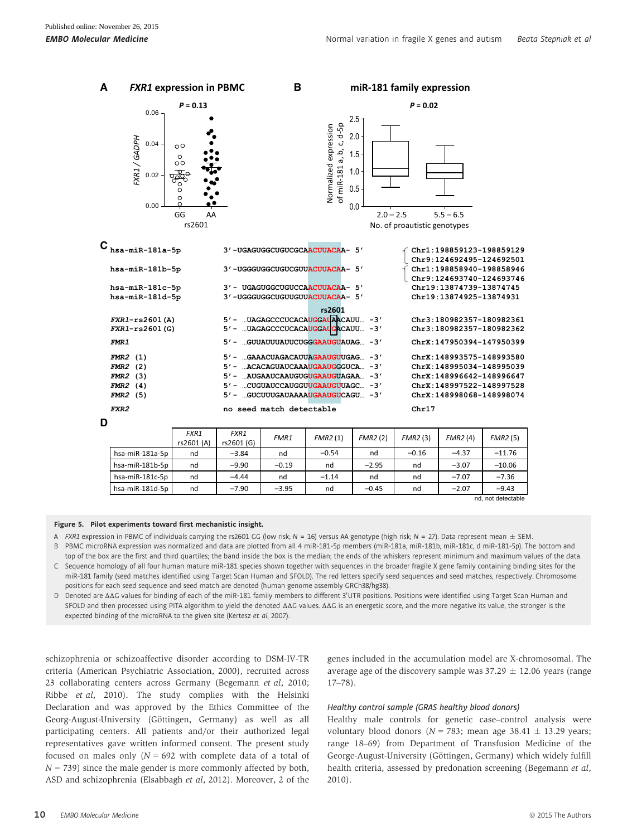| А | <b>FXR1 expression in PBMC</b>                                                                                            |                                                                                              |                    | в                        |                                                                                                                                                                                                                                                                                                                              |                                                       | miR-181 family expression    |                                                                                                                                                                                                                              |          |
|---|---------------------------------------------------------------------------------------------------------------------------|----------------------------------------------------------------------------------------------|--------------------|--------------------------|------------------------------------------------------------------------------------------------------------------------------------------------------------------------------------------------------------------------------------------------------------------------------------------------------------------------------|-------------------------------------------------------|------------------------------|------------------------------------------------------------------------------------------------------------------------------------------------------------------------------------------------------------------------------|----------|
|   | 0.06                                                                                                                      | $P = 0.13$                                                                                   |                    |                          |                                                                                                                                                                                                                                                                                                                              |                                                       | $P = 0.02$                   |                                                                                                                                                                                                                              |          |
|   | FXR1/GADPH<br>0.04<br>0.02<br>0.00                                                                                        | $\circ$<br>$\circ$<br>$\circ$<br>$\rm{^{\circ}}$<br>$\circ$<br>$\circ$<br>GG<br>AA<br>rs2601 |                    |                          | c, d-5p<br>Normalized expression<br>of miR-181 a, b,                                                                                                                                                                                                                                                                         | 2.5<br>2.0<br>1.5<br>1.0<br>0.5<br>0.0<br>$2.0 - 2.5$ | No. of proautistic genotypes | $5.5 - 6.5$                                                                                                                                                                                                                  |          |
|   | ${\mathbf C}_{\text{\,hsa--min-181a-5p}}$                                                                                 |                                                                                              |                    |                          | 3'-UGAGUGGCUGUCGCAACUUACAA- 5'                                                                                                                                                                                                                                                                                               |                                                       |                              | Chr1:198859123-198859129                                                                                                                                                                                                     |          |
|   | hsa-miR-181b-5p                                                                                                           |                                                                                              |                    |                          | 3'-UGGGUGGCUGUCGUUACUUACAA- 5'                                                                                                                                                                                                                                                                                               |                                                       |                              | Chr9:124692495-124692501<br>Chr1:198858940-198858946<br>Chr9:124693740-124693746                                                                                                                                             |          |
|   | hsa-miR-181c-5p<br>hsa-miR-181d-5p                                                                                        |                                                                                              |                    |                          | 3' - UGAGUGGCUGUCCAACUUACAA- 5'<br>3'-UGGGUGGCUGUUGUUACUUACAA- 5'                                                                                                                                                                                                                                                            |                                                       |                              | Chr19:13874739-13874745<br>Chr19:13874925-13874931                                                                                                                                                                           |          |
|   | $FXR1-rs2601(A)$<br>$FXR1-rs2601(G)$<br><b>FMR1</b><br>$FMR2$ (1)<br>$FMR2$ (2)<br>$FMR2$ (3)<br>$FMR2$ (4)<br>$FMR2$ (5) |                                                                                              |                    |                          | rs2601<br>5' -  UAGAGCCCUCACAUGGAUAACAUU - 3'<br>5' - UAGAGCCCUCACAUGGAUGACAUU -3'<br>5' -  GUUAUUUAUUCUGGGAAUGUAUAG - 3'<br>5' -  GAAACUAGACAUUAGAAUGUUGAG - 3'<br>5' -  ACACAGUAUCAAAUGAAUGGGUCA - 3'<br>5' -  AUGAAUCAAUGUGUGAAUGUAGAA - 3'<br>5' -  CUGUAUCCAUGGUUGAAUGUUAGC - 3'<br>5' -  GUCUUUGAUAAAAUGAAUGUCAGU - 3' |                                                       |                              | Chr3:180982357-180982361<br>Chr3:180982357-180982362<br>ChrX:147950394-147950399<br>ChrX:148993575-148993580<br>ChrX:148995034-148995039<br>ChrX:148996642-148996647<br>ChrX:148997522-148997528<br>ChrX:148998068-148998074 |          |
|   | FXR2                                                                                                                      |                                                                                              |                    | no seed match detectable |                                                                                                                                                                                                                                                                                                                              |                                                       | Chr17                        |                                                                                                                                                                                                                              |          |
| D |                                                                                                                           | FXR1<br>rs2601 (A)                                                                           | FXR1<br>rs2601 (G) | FMR1                     | FMR2(1)                                                                                                                                                                                                                                                                                                                      | FMR2(2)                                               | FMR2(3)                      | FMR2(4)                                                                                                                                                                                                                      | FMR2(5)  |
|   | hsa-miR-181a-5p                                                                                                           | nd                                                                                           | $-3.84$            | nd                       | $-0.54$                                                                                                                                                                                                                                                                                                                      | nd                                                    | $-0.16$                      | $-4.37$                                                                                                                                                                                                                      | $-11.76$ |
|   | hsa-miR-181b-5p                                                                                                           | nd                                                                                           | $-9.90$            | $-0.19$                  | nd                                                                                                                                                                                                                                                                                                                           | $-2.95$                                               | nd                           | $-3.07$                                                                                                                                                                                                                      | $-10.06$ |
|   | hsa-miR-181c-5p                                                                                                           | nd                                                                                           | $-4.44$            | nd                       | $-1.14$                                                                                                                                                                                                                                                                                                                      | nd                                                    | nd                           | $-7.07$                                                                                                                                                                                                                      | $-7.36$  |
|   | hsa-miR-181d-5p                                                                                                           | nd                                                                                           | $-7.90$            | $-3.95$                  | nd                                                                                                                                                                                                                                                                                                                           | $-0.45$                                               | nd                           | $-2.07$                                                                                                                                                                                                                      | $-9.43$  |

|                 | FXR1<br>rs2601 (A) | FXR1<br>rs2601 (G) | FMR1    | FMR2(1) | FMR2(2) | FMR2(3) | <b>FMR2(4)</b> | <b>FMR2(5)</b>     |
|-----------------|--------------------|--------------------|---------|---------|---------|---------|----------------|--------------------|
| hsa-miR-181a-5p | nd                 | $-3.84$            | nd      | $-0.54$ | nd      | $-0.16$ | $-4.37$        | $-11.76$           |
| hsa-miR-181b-5p | nd                 | $-9.90$            | $-0.19$ | nd      | $-2.95$ | nd      | $-3.07$        | $-10.06$           |
| hsa-miR-181c-5p | nd                 | $-4.44$            | nd      | $-1.14$ | nd      | nd      | $-7.07$        | $-7.36$            |
| hsa-miR-181d-5p | nd                 | $-7.90$            | $-3.95$ | nd      | $-0.45$ | nd      | $-2.07$        | $-9.43$            |
|                 |                    |                    |         |         |         |         |                | nd, not detectable |

#### Figure 5. Pilot experiments toward first mechanistic insight.

A FXR1 expression in PBMC of individuals carrying the rs2601 GG (low risk; N = 16) versus AA genotype (high risk; N = 27). Data represent mean  $\pm$  SEM.

B PBMC microRNA expression was normalized and data are plotted from all 4 miR-181-5p members (miR-181a, miR-181b, miR-181c, d miR-181-5p). The bottom and top of the box are the first and third quartiles; the band inside the box is the median; the ends of the whiskers represent minimum and maximum values of the data. C Sequence homology of all four human mature miR-181 species shown together with sequences in the broader fragile X gene family containing binding sites for the

miR-181 family (seed matches identified using Target Scan Human and SFOLD). The red letters specify seed sequences and seed matches, respectively. Chromosome positions for each seed sequence and seed match are denoted (human genome assembly GRCh38/hg38).

D Denoted are ΔΔG values for binding of each of the miR-181 family members to different 3'UTR positions. Positions were identified using Target Scan Human and SFOLD and then processed using PITA algorithm to yield the denoted ΔΔG values. ΔΔG is an energetic score, and the more negative its value, the stronger is the expected binding of the microRNA to the given site (Kertesz et al, 2007).

schizophrenia or schizoaffective disorder according to DSM-IV-TR criteria (American Psychiatric Association, 2000), recruited across 23 collaborating centers across Germany (Begemann et al, 2010; Ribbe et al, 2010). The study complies with the Helsinki Declaration and was approved by the Ethics Committee of the Georg-August-University (Göttingen, Germany) as well as all participating centers. All patients and/or their authorized legal representatives gave written informed consent. The present study focused on males only  $(N = 692$  with complete data of a total of  $N = 739$ ) since the male gender is more commonly affected by both, ASD and schizophrenia (Elsabbagh et al, 2012). Moreover, 2 of the

genes included in the accumulation model are X-chromosomal. The average age of the discovery sample was  $37.29 \pm 12.06$  years (range 17–78).

#### Healthy control sample (GRAS healthy blood donors)

Healthy male controls for genetic case–control analysis were voluntary blood donors ( $N = 783$ ; mean age 38.41  $\pm$  13.29 years; range 18–69) from Department of Transfusion Medicine of the George-August-University (Göttingen, Germany) which widely fulfill health criteria, assessed by predonation screening (Begemann et al, 2010).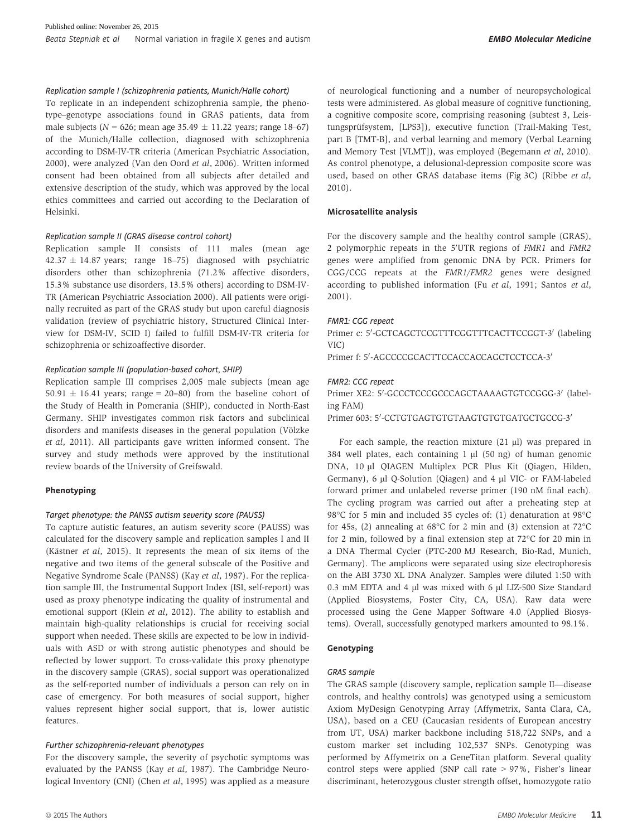#### Replication sample I (schizophrenia patients, Munich/Halle cohort)

To replicate in an independent schizophrenia sample, the phenotype–genotype associations found in GRAS patients, data from male subjects ( $N = 626$ ; mean age 35.49  $\pm$  11.22 years; range 18–67) of the Munich/Halle collection, diagnosed with schizophrenia according to DSM-IV-TR criteria (American Psychiatric Association, 2000), were analyzed (Van den Oord et al, 2006). Written informed consent had been obtained from all subjects after detailed and extensive description of the study, which was approved by the local ethics committees and carried out according to the Declaration of Helsinki.

#### Replication sample II (GRAS disease control cohort)

Replication sample II consists of 111 males (mean age  $42.37 \pm 14.87$  years; range 18–75) diagnosed with psychiatric disorders other than schizophrenia (71.2% affective disorders, 15.3% substance use disorders, 13.5% others) according to DSM-IV-TR (American Psychiatric Association 2000). All patients were originally recruited as part of the GRAS study but upon careful diagnosis validation (review of psychiatric history, Structured Clinical Interview for DSM-IV, SCID I) failed to fulfill DSM-IV-TR criteria for schizophrenia or schizoaffective disorder.

#### Replication sample III (population-based cohort, SHIP)

Replication sample III comprises 2,005 male subjects (mean age  $50.91 \pm 16.41$  years; range = 20-80) from the baseline cohort of the Study of Health in Pomerania (SHIP), conducted in North-East Germany. SHIP investigates common risk factors and subclinical disorders and manifests diseases in the general population (Völzke et al, 2011). All participants gave written informed consent. The survey and study methods were approved by the institutional review boards of the University of Greifswald.

#### Phenotyping

#### Target phenotype: the PANSS autism severity score (PAUSS)

To capture autistic features, an autism severity score (PAUSS) was calculated for the discovery sample and replication samples I and II (Kästner et al, 2015). It represents the mean of six items of the negative and two items of the general subscale of the Positive and Negative Syndrome Scale (PANSS) (Kay et al, 1987). For the replication sample III, the Instrumental Support Index (ISI, self-report) was used as proxy phenotype indicating the quality of instrumental and emotional support (Klein et al, 2012). The ability to establish and maintain high-quality relationships is crucial for receiving social support when needed. These skills are expected to be low in individuals with ASD or with strong autistic phenotypes and should be reflected by lower support. To cross-validate this proxy phenotype in the discovery sample (GRAS), social support was operationalized as the self-reported number of individuals a person can rely on in case of emergency. For both measures of social support, higher values represent higher social support, that is, lower autistic features.

#### Further schizophrenia-relevant phenotypes

For the discovery sample, the severity of psychotic symptoms was evaluated by the PANSS (Kay et al, 1987). The Cambridge Neurological Inventory (CNI) (Chen et al, 1995) was applied as a measure of neurological functioning and a number of neuropsychological tests were administered. As global measure of cognitive functioning, a cognitive composite score, comprising reasoning (subtest 3, Leistungsprüfsystem, [LPS3]), executive function (Trail-Making Test, part B [TMT-B], and verbal learning and memory (Verbal Learning and Memory Test [VLMT]), was employed (Begemann et al, 2010). As control phenotype, a delusional-depression composite score was used, based on other GRAS database items (Fig 3C) (Ribbe et al, 2010).

#### Microsatellite analysis

For the discovery sample and the healthy control sample (GRAS), 2 polymorphic repeats in the 5'UTR regions of FMR1 and FMR2 genes were amplified from genomic DNA by PCR. Primers for CGG/CCG repeats at the FMR1/FMR2 genes were designed according to published information (Fu et al, 1991; Santos et al, 2001).

#### FMR1: CGG repeat

Primer c: 5'-GCTCAGCTCCGTTTCGGTTTCACTTCCGGT-3' (labeling VIC)

Primer f: 5'-AGCCCCGCACTTCCACCACCAGCTCCTCCA-3

#### FMR2: CCG repeat

Primer XE2: 5'-GCCCTCCCGCCCAGCTAAAAGTGTCCGGG-3' (labeling FAM)

Primer 603: 5'-CCTGTGAGTGTGTAAGTGTGTGATGCTGCCG-3'

For each sample, the reaction mixture  $(21 \mu l)$  was prepared in 384 well plates, each containing  $1 \mu$  (50 ng) of human genomic DNA, 10 µl QIAGEN Multiplex PCR Plus Kit (Qiagen, Hilden, Germany), 6 µl Q-Solution (Qiagen) and 4 µl VIC- or FAM-labeled forward primer and unlabeled reverse primer (190 nM final each). The cycling program was carried out after a preheating step at 98°C for 5 min and included 35 cycles of: (1) denaturation at 98°C for 45s, (2) annealing at 68°C for 2 min and (3) extension at 72°C for 2 min, followed by a final extension step at 72°C for 20 min in a DNA Thermal Cycler (PTC-200 MJ Research, Bio-Rad, Munich, Germany). The amplicons were separated using size electrophoresis on the ABI 3730 XL DNA Analyzer. Samples were diluted 1:50 with 0.3 mM EDTA and 4 µl was mixed with 6 µl LIZ-500 Size Standard (Applied Biosystems, Foster City, CA, USA). Raw data were processed using the Gene Mapper Software 4.0 (Applied Biosystems). Overall, successfully genotyped markers amounted to 98.1%.

#### Genotyping

#### GRAS sample

The GRAS sample (discovery sample, replication sample II—disease controls, and healthy controls) was genotyped using a semicustom Axiom MyDesign Genotyping Array (Affymetrix, Santa Clara, CA, USA), based on a CEU (Caucasian residents of European ancestry from UT, USA) marker backbone including 518,722 SNPs, and a custom marker set including 102,537 SNPs. Genotyping was performed by Affymetrix on a GeneTitan platform. Several quality control steps were applied (SNP call rate > 97%, Fisher's linear discriminant, heterozygous cluster strength offset, homozygote ratio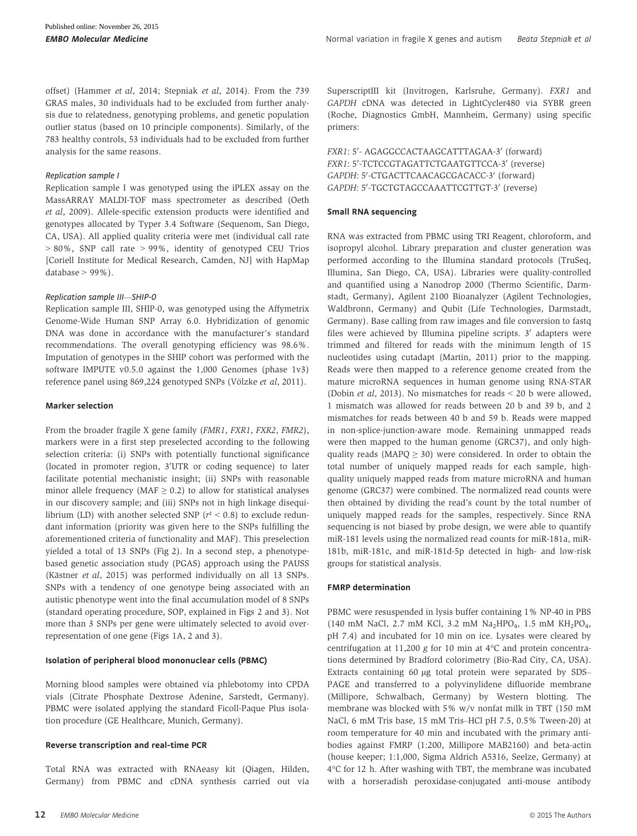offset) (Hammer et al, 2014; Stepniak et al, 2014). From the 739 GRAS males, 30 individuals had to be excluded from further analysis due to relatedness, genotyping problems, and genetic population outlier status (based on 10 principle components). Similarly, of the 783 healthy controls, 53 individuals had to be excluded from further analysis for the same reasons.

#### Replication sample I

Replication sample I was genotyped using the iPLEX assay on the MassARRAY MALDI-TOF mass spectrometer as described (Oeth et al, 2009). Allele-specific extension products were identified and genotypes allocated by Typer 3.4 Software (Sequenom, San Diego, CA, USA). All applied quality criteria were met (individual call rate > 80%, SNP call rate > 99%, identity of genotyped CEU Trios [Coriell Institute for Medical Research, Camden, NJ] with HapMap database  $> 99\%$ ).

#### Replication sample III—SHIP-0

Replication sample III, SHIP-0, was genotyped using the Affymetrix Genome-Wide Human SNP Array 6.0. Hybridization of genomic DNA was done in accordance with the manufacturer's standard recommendations. The overall genotyping efficiency was 98.6%. Imputation of genotypes in the SHIP cohort was performed with the software IMPUTE v0.5.0 against the 1,000 Genomes (phase 1v3) reference panel using 869,224 genotyped SNPs (Völzke et al, 2011).

#### Marker selection

From the broader fragile X gene family (FMR1, FXR1, FXR2, FMR2), markers were in a first step preselected according to the following selection criteria: (i) SNPs with potentially functional significance (located in promoter region, 3'UTR or coding sequence) to later facilitate potential mechanistic insight; (ii) SNPs with reasonable minor allele frequency ( $MAF \geq 0.2$ ) to allow for statistical analyses in our discovery sample; and (iii) SNPs not in high linkage disequilibrium (LD) with another selected SNP ( $r^2$  < 0.8) to exclude redundant information (priority was given here to the SNPs fulfilling the aforementioned criteria of functionality and MAF). This preselection yielded a total of 13 SNPs (Fig 2). In a second step, a phenotypebased genetic association study (PGAS) approach using the PAUSS (Kästner et al, 2015) was performed individually on all 13 SNPs. SNPs with a tendency of one genotype being associated with an autistic phenotype went into the final accumulation model of 8 SNPs (standard operating procedure, SOP, explained in Figs 2 and 3). Not more than 3 SNPs per gene were ultimately selected to avoid overrepresentation of one gene (Figs 1A, 2 and 3).

#### Isolation of peripheral blood mononuclear cells (PBMC)

Morning blood samples were obtained via phlebotomy into CPDA vials (Citrate Phosphate Dextrose Adenine, Sarstedt, Germany). PBMC were isolated applying the standard Ficoll-Paque Plus isolation procedure (GE Healthcare, Munich, Germany).

#### Reverse transcription and real-time PCR

Total RNA was extracted with RNAeasy kit (Qiagen, Hilden, Germany) from PBMC and cDNA synthesis carried out via SuperscriptIII kit (Invitrogen, Karlsruhe, Germany). FXR1 and GAPDH cDNA was detected in LightCycler480 via SYBR green (Roche, Diagnostics GmbH, Mannheim, Germany) using specific primers:

FXR1: 5'- AGAGGCCACTAAGCATTTAGAA-3' (forward) FXR1: 5'-TCTCCGTAGATTCTGAATGTTCCA-3' (reverse) GAPDH: 5'-CTGACTTCAACAGCGACACC-3' (forward) GAPDH: 5'-TGCTGTAGCCAAATTCGTTGT-3' (reverse)

#### Small RNA sequencing

RNA was extracted from PBMC using TRI Reagent, chloroform, and isopropyl alcohol. Library preparation and cluster generation was performed according to the Illumina standard protocols (TruSeq, Illumina, San Diego, CA, USA). Libraries were quality-controlled and quantified using a Nanodrop 2000 (Thermo Scientific, Darmstadt, Germany), Agilent 2100 Bioanalyzer (Agilent Technologies, Waldbronn, Germany) and Qubit (Life Technologies, Darmstadt, Germany). Base calling from raw images and file conversion to fastq files were achieved by Illumina pipeline scripts.  $3'$  adapters were trimmed and filtered for reads with the minimum length of 15 nucleotides using cutadapt (Martin, 2011) prior to the mapping. Reads were then mapped to a reference genome created from the mature microRNA sequences in human genome using RNA-STAR (Dobin et al, 2013). No mismatches for reads < 20 b were allowed, 1 mismatch was allowed for reads between 20 b and 39 b, and 2 mismatches for reads between 40 b and 59 b. Reads were mapped in non-splice-junction-aware mode. Remaining unmapped reads were then mapped to the human genome (GRC37), and only highquality reads (MAPQ  $\geq$  30) were considered. In order to obtain the total number of uniquely mapped reads for each sample, highquality uniquely mapped reads from mature microRNA and human genome (GRC37) were combined. The normalized read counts were then obtained by dividing the read's count by the total number of uniquely mapped reads for the samples, respectively. Since RNA sequencing is not biased by probe design, we were able to quantify miR-181 levels using the normalized read counts for miR-181a, miR-181b, miR-181c, and miR-181d-5p detected in high- and low-risk groups for statistical analysis.

#### FMRP determination

PBMC were resuspended in lysis buffer containing 1% NP-40 in PBS (140 mM NaCl, 2.7 mM KCl, 3.2 mM Na<sub>2</sub>HPO<sub>4</sub>, 1.5 mM KH<sub>2</sub>PO<sub>4</sub>, pH 7.4) and incubated for 10 min on ice. Lysates were cleared by centrifugation at 11,200 g for 10 min at 4°C and protein concentrations determined by Bradford colorimetry (Bio-Rad City, CA, USA). Extracts containing 60 µg total protein were separated by SDS– PAGE and transferred to a polyvinylidene difluoride membrane (Millipore, Schwalbach, Germany) by Western blotting. The membrane was blocked with 5% w/v nonfat milk in TBT (150 mM NaCl, 6 mM Tris base, 15 mM Tris–HCl pH 7.5, 0.5% Tween-20) at room temperature for 40 min and incubated with the primary antibodies against FMRP (1:200, Millipore MAB2160) and beta-actin (house keeper; 1:1,000, Sigma Aldrich A5316, Seelze, Germany) at 4°C for 12 h. After washing with TBT, the membrane was incubated with a horseradish peroxidase-conjugated anti-mouse antibody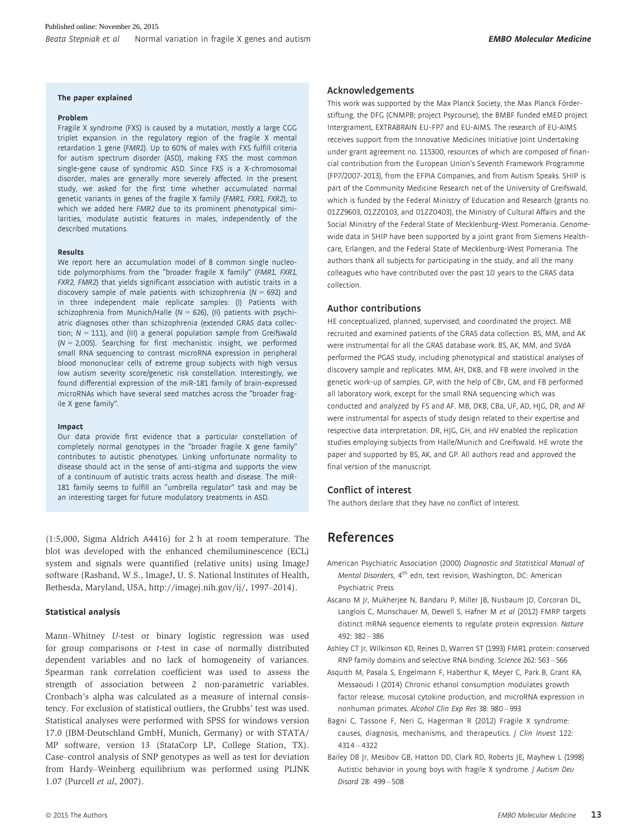#### The paper explained

#### Problem

Fragile X syndrome (FXS) is caused by a mutation, mostly a large CGG triplet expansion in the regulatory region of the fragile X mental retardation 1 gene (FMR1). Up to 60% of males with FXS fulfill criteria for autism spectrum disorder (ASD), making FXS the most common single-gene cause of syndromic ASD. Since FXS is a X-chromosomal disorder, males are generally more severely affected. In the present study, we asked for the first time whether accumulated normal genetic variants in genes of the fragile X family (FMR1, FXR1, FXR2), to which we added here FMR2 due to its prominent phenotypical similarities, modulate autistic features in males, independently of the described mutations.

#### Results

We report here an accumulation model of 8 common single nucleotide polymorphisms from the "broader fragile X family" (FMR1, FXR1, FXR2, FMR2) that yields significant association with autistic traits in a discovery sample of male patients with schizophrenia ( $N = 692$ ) and in three independent male replicate samples: (I) Patients with schizophrenia from Munich/Halle ( $N = 626$ ), (II) patients with psychiatric diagnoses other than schizophrenia (extended GRAS data collection;  $N = 111$ ), and (III) a general population sample from Greifswald  $(N = 2,005)$ . Searching for first mechanistic insight, we performed small RNA sequencing to contrast microRNA expression in peripheral blood mononuclear cells of extreme group subjects with high versus low autism severity score/genetic risk constellation. Interestingly, we found differential expression of the miR-181 family of brain-expressed microRNAs which have several seed matches across the "broader fragile X gene family".

#### Impact

Our data provide first evidence that a particular constellation of completely normal genotypes in the "broader fragile X gene family" contributes to autistic phenotypes. Linking unfortunate normality to disease should act in the sense of anti-stigma and supports the view of a continuum of autistic traits across health and disease. The miR-181 family seems to fulfill an "umbrella regulator" task and may be an interesting target for future modulatory treatments in ASD.

(1:5,000, Sigma Aldrich A4416) for 2 h at room temperature. The blot was developed with the enhanced chemiluminescence (ECL) system and signals were quantified (relative units) using ImageJ software (Rasband, W.S., ImageJ, U. S. National Institutes of Health, Bethesda, Maryland, USA,<http://imagej.nih.gov/ij/>, 1997–2014).

#### Statistical analysis

Mann–Whitney U-test or binary logistic regression was used for group comparisons or t-test in case of normally distributed dependent variables and no lack of homogeneity of variances. Spearman rank correlation coefficient was used to assess the strength of association between 2 non-parametric variables. Cronbach's alpha was calculated as a measure of internal consistency. For exclusion of statistical outliers, the Grubbs' test was used. Statistical analyses were performed with SPSS for windows version 17.0 (IBM-Deutschland GmbH, Munich, Germany) or with STATA/ MP software, version 13 (StataCorp LP, College Station, TX). Case–control analysis of SNP genotypes as well as test for deviation from Hardy–Weinberg equilibrium was performed using PLINK 1.07 (Purcell et al, 2007).

#### Acknowledgements

This work was supported by the Max Planck Society, the Max Planck Förderstiftung, the DFG (CNMPB; project Psycourse), the BMBF funded eMED project Intergrament, EXTRABRAIN EU-FP7 and EU-AIMS. The research of EU-AIMS receives support from the Innovative Medicines Initiative Joint Undertaking under grant agreement no. 115300, resources of which are composed of financial contribution from the European Union's Seventh Framework Programme (FP7/2007-2013), from the EFPIA Companies, and from Autism Speaks. SHIP is part of the Community Medicine Research net of the University of Greifswald, which is funded by the Federal Ministry of Education and Research (grants no. 01ZZ9603, 01ZZ0103, and 01ZZ0403), the Ministry of Cultural Affairs and the Social Ministry of the Federal State of Mecklenburg-West Pomerania. Genomewide data in SHIP have been supported by a joint grant from Siemens Healthcare, Erlangen, and the Federal State of Mecklenburg-West Pomerania. The authors thank all subjects for participating in the study, and all the many colleagues who have contributed over the past 10 years to the GRAS data collection.

#### Author contributions

HE conceptualized, planned, supervised, and coordinated the project. MB recruited and examined patients of the GRAS data collection. BS, MM, and AK were instrumental for all the GRAS database work. BS, AK, MM, and SVdA performed the PGAS study, including phenotypical and statistical analyses of discovery sample and replicates. MM, AH, DKB, and FB were involved in the genetic work-up of samples. GP, with the help of CBr, GM, and FB performed all laboratory work, except for the small RNA sequencing which was conducted and analyzed by FS and AF. MB, DKB, CBa, UF, AD, HJG, DR, and AF were instrumental for aspects of study design related to their expertise and respective data interpretation. DR, HJG, GH, and HV enabled the replication studies employing subjects from Halle/Munich and Greifswald. HE wrote the paper and supported by BS, AK, and GP. All authors read and approved the final version of the manuscript.

#### Conflict of interest

The authors declare that they have no conflict of interest.

### References

- American Psychiatric Association (2000) Diagnostic and Statistical Manual of Mental Disorders, 4<sup>th</sup> edn, text revision, Washington, DC: American Psychiatric Press
- Ascano M Jr, Mukherjee N, Bandaru P, Miller JB, Nusbaum JD, Corcoran DL, Langlois C, Munschauer M, Dewell S, Hafner M et al (2012) FMRP targets distinct mRNA sequence elements to regulate protein expression. Nature  $492.382 - 386$
- Ashley CT Jr, Wilkinson KD, Reines D, Warren ST (1993) FMR1 protein: conserved RNP family domains and selective RNA binding. Science 262: 563 – 566
- Asquith M, Pasala S, Engelmann F, Haberthur K, Meyer C, Park B, Grant KA, Messaoudi I (2014) Chronic ethanol consumption modulates growth factor release, mucosal cytokine production, and microRNA expression in nonhuman primates. Alcohol Clin Exp Res 38: 980 – 993
- Bagni C, Tassone F, Neri G, Hagerman R (2012) Fragile X syndrome: causes, diagnosis, mechanisms, and therapeutics. J Clin Invest 122: 4314 – 4322
- Bailey DB Jr, Mesibov GB, Hatton DD, Clark RD, Roberts JE, Mayhew L (1998) Autistic behavior in young boys with fragile X syndrome. *J Autism Deu* Disord 28: 499 – 508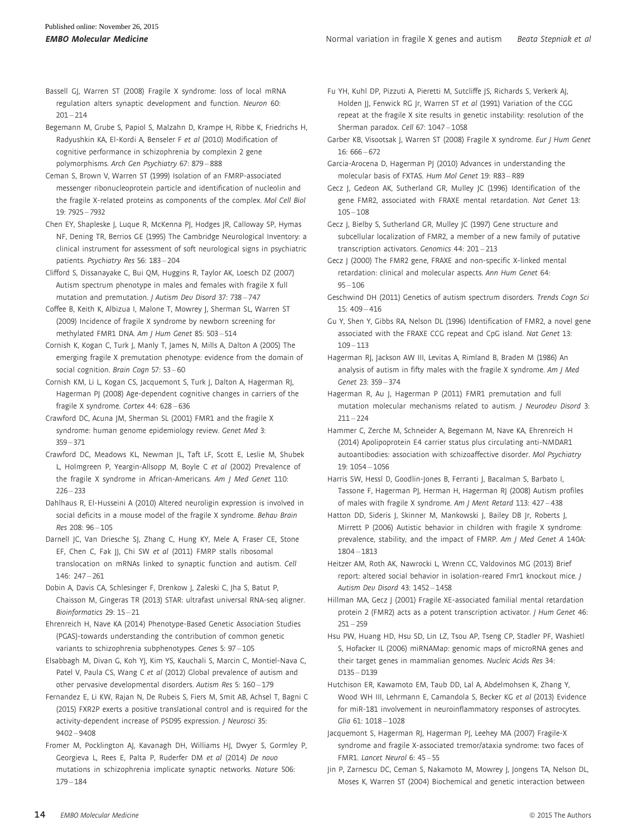- Bassell GJ, Warren ST (2008) Fragile X syndrome: loss of local mRNA regulation alters synaptic development and function. Neuron 60:  $201 - 214$
- Begemann M, Grube S, Papiol S, Malzahn D, Krampe H, Ribbe K, Friedrichs H, Radyushkin KA, El-Kordi A, Benseler F et al (2010) Modification of cognitive performance in schizophrenia by complexin 2 gene polymorphisms. Arch Gen Psychiatry 67: 879 – 888
- Ceman S, Brown V, Warren ST (1999) Isolation of an FMRP-associated messenger ribonucleoprotein particle and identification of nucleolin and the fragile X-related proteins as components of the complex. Mol Cell Biol 19: 7925 – 7932
- Chen EY, Shapleske J, Luque R, McKenna PJ, Hodges JR, Calloway SP, Hymas NF, Dening TR, Berrios GE (1995) The Cambridge Neurological Inventory: a clinical instrument for assessment of soft neurological signs in psychiatric patients. Psychiatry Res 56: 183 – 204
- Clifford S, Dissanayake C, Bui QM, Huggins R, Taylor AK, Loesch DZ (2007) Autism spectrum phenotype in males and females with fragile X full mutation and premutation. J Autism Dev Disord 37: 738 – 747
- Coffee B, Keith K, Albizua I, Malone T, Mowrey J, Sherman SL, Warren ST (2009) Incidence of fragile X syndrome by newborn screening for methylated FMR1 DNA. Am J Hum Genet 85: 503 – 514
- Cornish K, Kogan C, Turk J, Manly T, James N, Mills A, Dalton A (2005) The emerging fragile X premutation phenotype: evidence from the domain of social cognition. Brain Cogn 57: 53 – 60
- Cornish KM, Li L, Kogan CS, Jacquemont S, Turk J, Dalton A, Hagerman RJ, Hagerman PJ (2008) Age-dependent cognitive changes in carriers of the fragile X syndrome. Cortex 44: 628 – 636
- Crawford DC, Acuna JM, Sherman SL (2001) FMR1 and the fragile X syndrome: human genome epidemiology review. Genet Med 3: 359 – 371
- Crawford DC, Meadows KL, Newman JL, Taft LF, Scott E, Leslie M, Shubek L, Holmgreen P, Yeargin-Allsopp M, Boyle C et al (2002) Prevalence of the fragile X syndrome in African-Americans. Am J Med Genet 110:  $226 - 233$
- Dahlhaus R, El-Husseini A (2010) Altered neuroligin expression is involved in social deficits in a mouse model of the fragile X syndrome. Behav Brain Res 208: 96 – 105
- Darnell JC, Van Driesche SJ, Zhang C, Hung KY, Mele A, Fraser CE, Stone EF, Chen C, Fak JJ, Chi SW et al (2011) FMRP stalls ribosomal translocation on mRNAs linked to synaptic function and autism. Cell 146: 247 – 261
- Dobin A, Davis CA, Schlesinger F, Drenkow J, Zaleski C, Jha S, Batut P, Chaisson M, Gingeras TR (2013) STAR: ultrafast universal RNA-seq aligner. Bioinformatics 29: 15 – 21
- Ehrenreich H, Nave KA (2014) Phenotype-Based Genetic Association Studies (PGAS)-towards understanding the contribution of common genetic variants to schizophrenia subphenotypes. Genes 5: 97 – 105
- Elsabbagh M, Divan G, Koh YJ, Kim YS, Kauchali S, Marcin C, Montiel-Nava C, Patel V, Paula CS, Wang C et al (2012) Global prevalence of autism and other pervasive developmental disorders. Autism Res 5: 160 – 179
- Fernandez E, Li KW, Rajan N, De Rubeis S, Fiers M, Smit AB, Achsel T, Bagni C (2015) FXR2P exerts a positive translational control and is required for the activity-dependent increase of PSD95 expression. *J Neurosci* 35: 9402 – 9408
- Fromer M, Pocklington AJ, Kavanagh DH, Williams HJ, Dwyer S, Gormley P, Georgieva L, Rees E, Palta P, Ruderfer DM et al (2014) De novo mutations in schizophrenia implicate synaptic networks. Nature 506: 179 – 184
- Fu YH, Kuhl DP, Pizzuti A, Pieretti M, Sutcliffe JS, Richards S, Verkerk AJ, Holden II, Fenwick RG Ir, Warren ST et al (1991) Variation of the CGG repeat at the fragile X site results in genetic instability: resolution of the Sherman paradox. Cell 67: 1047 – 1058
- Garber KB, Visootsak J, Warren ST (2008) Fragile X syndrome. Eur J Hum Genet 16: 666 – 672
- Garcia-Arocena D, Hagerman PJ (2010) Advances in understanding the molecular basis of FXTAS. Hum Mol Genet 19: R83 – R89
- Gecz J, Gedeon AK, Sutherland GR, Mulley JC (1996) Identification of the gene FMR2, associated with FRAXE mental retardation. Nat Genet 13:  $105 - 108$
- Gecz J, Bielby S, Sutherland GR, Mulley JC (1997) Gene structure and subcellular localization of FMR2, a member of a new family of putative transcription activators. Genomics 44: 201 – 213
- Gecz J (2000) The FMR2 gene, FRAXE and non-specific X-linked mental retardation: clinical and molecular aspects. Ann Hum Genet 64:  $95 - 106$
- Geschwind DH (2011) Genetics of autism spectrum disorders. Trends Cogn Sci  $15: 409 - 416$
- Gu Y, Shen Y, Gibbs RA, Nelson DL (1996) Identification of FMR2, a novel gene associated with the FRAXE CCG repeat and CpG island. Nat Genet 13:  $109 - 113$
- Hagerman RJ, Jackson AW III, Levitas A, Rimland B, Braden M (1986) An analysis of autism in fifty males with the fragile X syndrome. Am J Med Genet 23: 359 – 374
- Hagerman R, Au J, Hagerman P (2011) FMR1 premutation and full mutation molecular mechanisms related to autism. J Neurodev Disord 3:  $211 - 224$
- Hammer C, Zerche M, Schneider A, Begemann M, Nave KA, Ehrenreich H (2014) Apolipoprotein E4 carrier status plus circulating anti-NMDAR1 autoantibodies: association with schizoaffective disorder. Mol Psychiatry 19: 1054 – 1056
- Harris SW, Hessl D, Goodlin-Jones B, Ferranti J, Bacalman S, Barbato I, Tassone F, Hagerman PJ, Herman H, Hagerman RJ (2008) Autism profiles of males with fragile X syndrome. Am J Ment Retard 113: 427 – 438
- Hatton DD, Sideris J, Skinner M, Mankowski J, Bailey DB Jr, Roberts J, Mirrett P (2006) Autistic behavior in children with fragile X syndrome: prevalence, stability, and the impact of FMRP. Am J Med Genet A 140A: 1804 – 1813
- Heitzer AM, Roth AK, Nawrocki L, Wrenn CC, Valdovinos MG (2013) Brief report: altered social behavior in isolation-reared Fmr1 knockout mice. J Autism Dev Disord 43: 1452 – 1458
- Hillman MA, Gecz J (2001) Fragile XE-associated familial mental retardation protein 2 (FMR2) acts as a potent transcription activator. *J Hum Genet 46*:  $251 - 259$
- Hsu PW, Huang HD, Hsu SD, Lin LZ, Tsou AP, Tseng CP, Stadler PF, Washietl S, Hofacker IL (2006) miRNAMap: genomic maps of microRNA genes and their target genes in mammalian genomes. Nucleic Acids Res 34: D135 – D139
- Hutchison ER, Kawamoto EM, Taub DD, Lal A, Abdelmohsen K, Zhang Y, Wood WH III, Lehrmann E, Camandola S, Becker KG et al (2013) Evidence for miR-181 involvement in neuroinflammatory responses of astrocytes. Glia 61: 1018 – 1028
- Jacquemont S, Hagerman RJ, Hagerman PJ, Leehey MA (2007) Fragile-X syndrome and fragile X-associated tremor/ataxia syndrome: two faces of FMR1. Lancet Neurol 6: 45 – 55
- Jin P, Zarnescu DC, Ceman S, Nakamoto M, Mowrey J, Jongens TA, Nelson DL, Moses K, Warren ST (2004) Biochemical and genetic interaction between